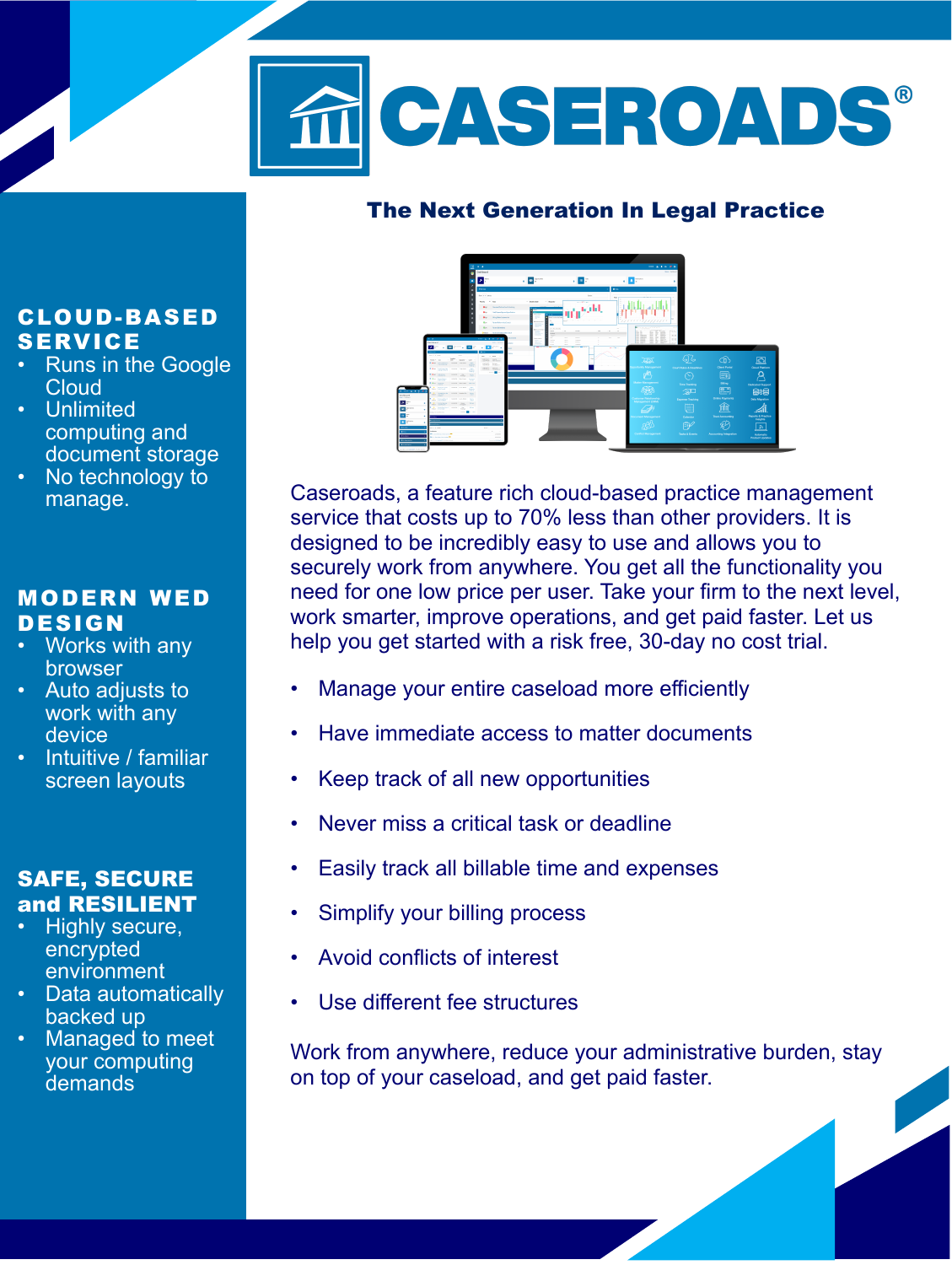

### **The Next Generation In Legal Practice**

## **CLOUD -BA S ED S ERV IC E**

- Runs in the Google **Cloud**
- Unlimited computing and document storage
- No technology to manage.

### **MOD ERN W ED D E S IGN**

- Works with any browser
- **Auto** adjusts to work with any device
- **Intuitive / familiar** screen layouts

#### **SAFE, SECURE and RESILIENT**

- Highly secure, encrypted environment
- Data automatically backed up
- Managed to meet your computing **demands**



Caseroads, a feature rich cloud-based practice management service that costs up to 70% less than other providers. It is designed to be incredibly easy to use and allows you to securely work from anywhere. You get all the functionality you need for one low price per user. Take your firm to the next level, work smarter, improve operations, and get paid faster. Let us help you get started with a risk free, 30-day no cost trial.

- Manage your entire caseload more efficiently
- Have immediate access to matter documents
- Keep track of all new opportunities
- Never miss a critical task or deadline
- Easily track all billable time and expenses
- Simplify your billing process
- Avoid conflicts of interest
- Use different fee structures

Work from anywhere, reduce your administrative burden, stay on top of your caseload, and get paid faster.